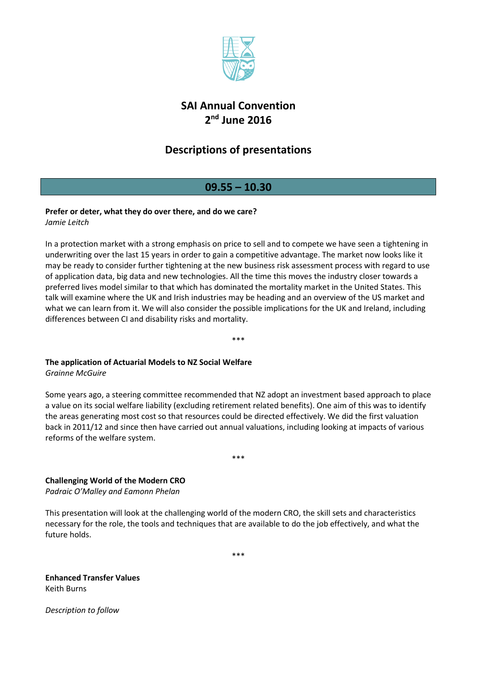

# **SAI Annual Convention 2 nd June 2016**

# **Descriptions of presentations**

### **09.55 – 10.30**

### **Prefer or deter, what they do over there, and do we care?**

*Jamie Leitch*

In a protection market with a strong emphasis on price to sell and to compete we have seen a tightening in underwriting over the last 15 years in order to gain a competitive advantage. The market now looks like it may be ready to consider further tightening at the new business risk assessment process with regard to use of application data, big data and new technologies. All the time this moves the industry closer towards a preferred lives model similar to that which has dominated the mortality market in the United States. This talk will examine where the UK and Irish industries may be heading and an overview of the US market and what we can learn from it. We will also consider the possible implications for the UK and Ireland, including differences between CI and disability risks and mortality.

\*\*\*

### **The application of Actuarial Models to NZ Social Welfare**

*Grainne McGuire*

Some years ago, a steering committee recommended that NZ adopt an investment based approach to place a value on its social welfare liability (excluding retirement related benefits). One aim of this was to identify the areas generating most cost so that resources could be directed effectively. We did the first valuation back in 2011/12 and since then have carried out annual valuations, including looking at impacts of various reforms of the welfare system.

\*\*\*

**Challenging World of the Modern CRO**

*Padraic O'Malley and Eamonn Phelan*

This presentation will look at the challenging world of the modern CRO, the skill sets and characteristics necessary for the role, the tools and techniques that are available to do the job effectively, and what the future holds.

\*\*\*

**Enhanced Transfer Values** Keith Burns

*Description to follow*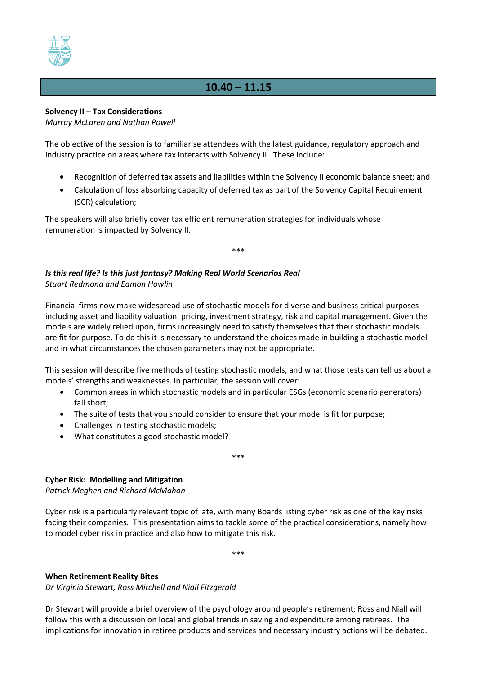

# **10.40 – 11.15**

#### **Solvency II – Tax Considerations**

*Murray McLaren and Nathan Powell*

The objective of the session is to familiarise attendees with the latest guidance, regulatory approach and industry practice on areas where tax interacts with Solvency II. These include:

- Recognition of deferred tax assets and liabilities within the Solvency II economic balance sheet; and
- Calculation of loss absorbing capacity of deferred tax as part of the Solvency Capital Requirement (SCR) calculation;

The speakers will also briefly cover tax efficient remuneration strategies for individuals whose remuneration is impacted by Solvency II.

\*\*\*

*Is this real life? Is this just fantasy? Making Real World Scenarios Real Stuart Redmond and Eamon Howlin*

Financial firms now make widespread use of stochastic models for diverse and business critical purposes including asset and liability valuation, pricing, investment strategy, risk and capital management. Given the models are widely relied upon, firms increasingly need to satisfy themselves that their stochastic models are fit for purpose. To do this it is necessary to understand the choices made in building a stochastic model and in what circumstances the chosen parameters may not be appropriate.

This session will describe five methods of testing stochastic models, and what those tests can tell us about a models' strengths and weaknesses. In particular, the session will cover:

 Common areas in which stochastic models and in particular ESGs (economic scenario generators) fall short;

\*\*\*

- The suite of tests that you should consider to ensure that your model is fit for purpose;
- Challenges in testing stochastic models;
- What constitutes a good stochastic model?

#### **Cyber Risk: Modelling and Mitigation**

*Patrick Meghen and Richard McMahon*

Cyber risk is a particularly relevant topic of late, with many Boards listing cyber risk as one of the key risks facing their companies. This presentation aims to tackle some of the practical considerations, namely how to model cyber risk in practice and also how to mitigate this risk.

\*\*\*

#### **When Retirement Reality Bites**

*Dr Virginia Stewart, Ross Mitchell and Niall Fitzgerald*

Dr Stewart will provide a brief overview of the psychology around people's retirement; Ross and Niall will follow this with a discussion on local and global trends in saving and expenditure among retirees. The implications for innovation in retiree products and services and necessary industry actions will be debated.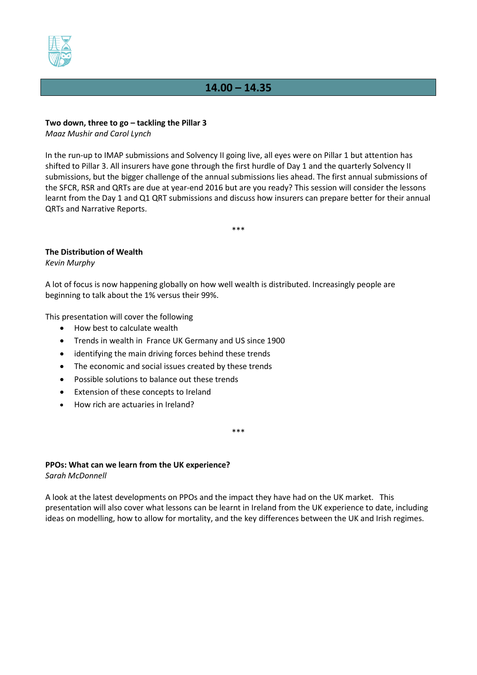

## **14.00 – 14.35**

#### **Two down, three to go – tackling the Pillar 3**

*Maaz Mushir and Carol Lynch*

In the run-up to IMAP submissions and Solvency II going live, all eyes were on Pillar 1 but attention has shifted to Pillar 3. All insurers have gone through the first hurdle of Day 1 and the quarterly Solvency II submissions, but the bigger challenge of the annual submissions lies ahead. The first annual submissions of the SFCR, RSR and QRTs are due at year-end 2016 but are you ready? This session will consider the lessons learnt from the Day 1 and Q1 QRT submissions and discuss how insurers can prepare better for their annual QRTs and Narrative Reports.

\*\*\*

#### **The Distribution of Wealth**

*Kevin Murphy*

A lot of focus is now happening globally on how well wealth is distributed. Increasingly people are beginning to talk about the 1% versus their 99%.

This presentation will cover the following

- How best to calculate wealth
- Trends in wealth in France UK Germany and US since 1900
- identifying the main driving forces behind these trends
- The economic and social issues created by these trends
- Possible solutions to balance out these trends
- Extension of these concepts to Ireland
- How rich are actuaries in Ireland?

**PPOs: What can we learn from the UK experience?** *Sarah McDonnell*

A look at the latest developments on PPOs and the impact they have had on the UK market. This presentation will also cover what lessons can be learnt in Ireland from the UK experience to date, including ideas on modelling, how to allow for mortality, and the key differences between the UK and Irish regimes.

\*\*\*